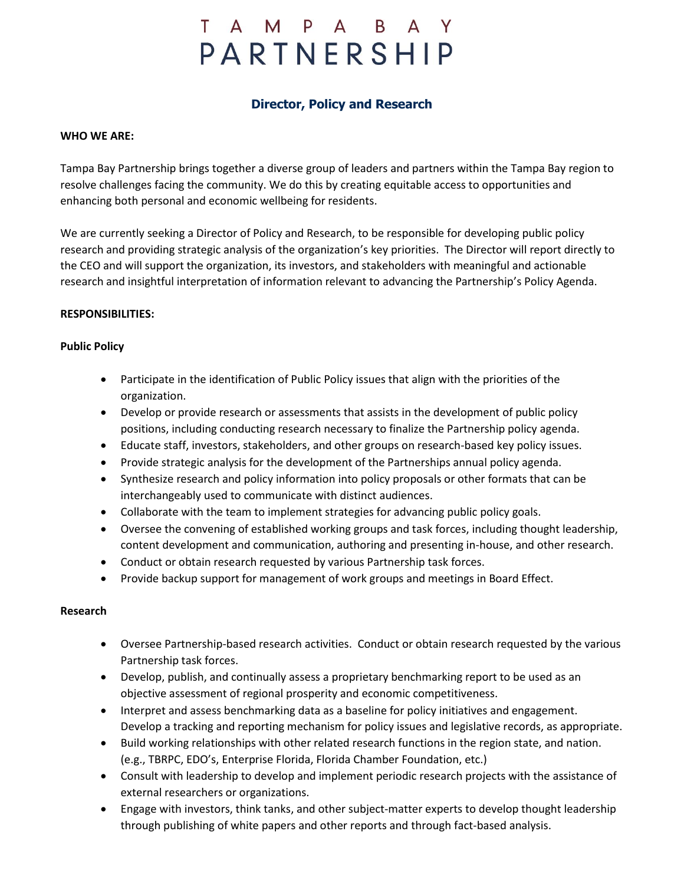# T A M P A B A Y PARTNERSHIP

# **Director, Policy and Research**

#### **WHO WE ARE:**

Tampa Bay Partnership brings together a diverse group of leaders and partners within the Tampa Bay region to resolve challenges facing the community. We do this by creating equitable access to opportunities and enhancing both personal and economic wellbeing for residents.

We are currently seeking a Director of Policy and Research, to be responsible for developing public policy research and providing strategic analysis of the organization's key priorities. The Director will report directly to the CEO and will support the organization, its investors, and stakeholders with meaningful and actionable research and insightful interpretation of information relevant to advancing the Partnership's Policy Agenda.

#### **RESPONSIBILITIES:**

#### **Public Policy**

- Participate in the identification of Public Policy issues that align with the priorities of the organization.
- Develop or provide research or assessments that assists in the development of public policy positions, including conducting research necessary to finalize the Partnership policy agenda.
- Educate staff, investors, stakeholders, and other groups on research-based key policy issues.
- Provide strategic analysis for the development of the Partnerships annual policy agenda.
- Synthesize research and policy information into policy proposals or other formats that can be interchangeably used to communicate with distinct audiences.
- Collaborate with the team to implement strategies for advancing public policy goals.
- Oversee the convening of established working groups and task forces, including thought leadership, content development and communication, authoring and presenting in-house, and other research.
- Conduct or obtain research requested by various Partnership task forces.
- Provide backup support for management of work groups and meetings in Board Effect.

#### **Research**

- Oversee Partnership-based research activities. Conduct or obtain research requested by the various Partnership task forces.
- Develop, publish, and continually assess a proprietary benchmarking report to be used as an objective assessment of regional prosperity and economic competitiveness.
- Interpret and assess benchmarking data as a baseline for policy initiatives and engagement. Develop a tracking and reporting mechanism for policy issues and legislative records, as appropriate.
- Build working relationships with other related research functions in the region state, and nation. (e.g., TBRPC, EDO's, Enterprise Florida, Florida Chamber Foundation, etc.)
- Consult with leadership to develop and implement periodic research projects with the assistance of external researchers or organizations.
- Engage with investors, think tanks, and other subject-matter experts to develop thought leadership through publishing of white papers and other reports and through fact-based analysis.